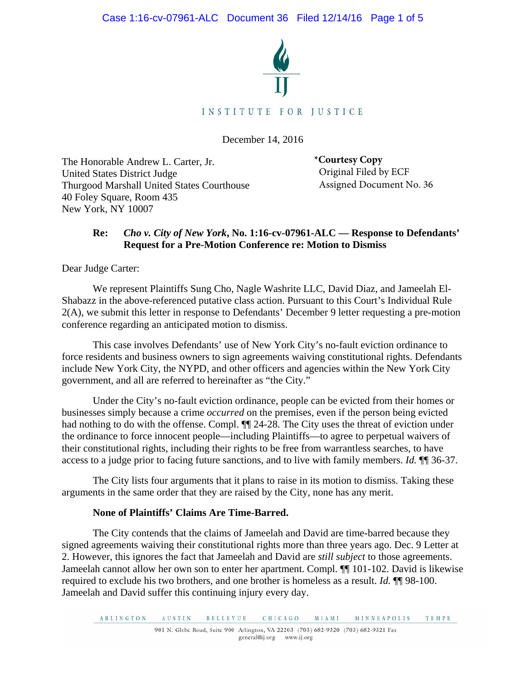Case 1:16-cv-07961-ALC Document 36 Filed 12/14/16 Page 1 of 5



December 14, 2016

The Honorable Andrew L. Carter, Jr. United States District Judge Thurgood Marshall United States Courthouse 40 Foley Square, Room 435 New York, NY 10007

**\*Courtesy Copy** Original Filed by ECF Assigned Document No. 36

## **Re:** *Cho v. City of New York***, No. 1:16-cv-07961-ALC — Response to Defendants' Request for a Pre-Motion Conference re: Motion to Dismiss**

Dear Judge Carter:

We represent Plaintiffs Sung Cho, Nagle Washrite LLC, David Diaz, and Jameelah El-Shabazz in the above-referenced putative class action. Pursuant to this Court's Individual Rule 2(A), we submit this letter in response to Defendants' December 9 letter requesting a pre-motion conference regarding an anticipated motion to dismiss.

This case involves Defendants' use of New York City's no-fault eviction ordinance to force residents and business owners to sign agreements waiving constitutional rights. Defendants include New York City, the NYPD, and other officers and agencies within the New York City government, and all are referred to hereinafter as "the City."

Under the City's no-fault eviction ordinance, people can be evicted from their homes or businesses simply because a crime *occurred* on the premises, even if the person being evicted had nothing to do with the offense. Compl.  $\P$  24-28. The City uses the threat of eviction under the ordinance to force innocent people—including Plaintiffs—to agree to perpetual waivers of their constitutional rights, including their rights to be free from warrantless searches, to have access to a judge prior to facing future sanctions, and to live with family members. *Id.* ¶¶ 36-37.

The City lists four arguments that it plans to raise in its motion to dismiss. Taking these arguments in the same order that they are raised by the City, none has any merit.

### **None of Plaintiffs' Claims Are Time-Barred.**

The City contends that the claims of Jameelah and David are time-barred because they signed agreements waiving their constitutional rights more than three years ago. Dec. 9 Letter at 2. However, this ignores the fact that Jameelah and David are *still subject* to those agreements. Jameelah cannot allow her own son to enter her apartment. Compl. ¶¶ 101-102. David is likewise required to exclude his two brothers, and one brother is homeless as a result. *Id.* ¶¶ 98-100. Jameelah and David suffer this continuing injury every day.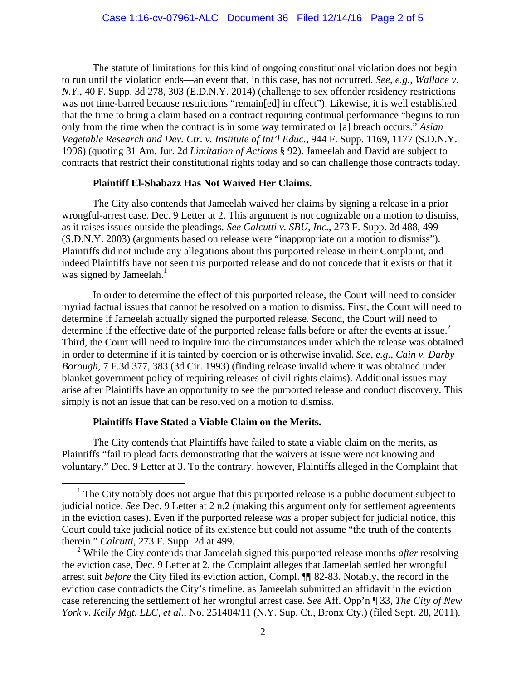The statute of limitations for this kind of ongoing constitutional violation does not begin to run until the violation ends—an event that, in this case, has not occurred. *See, e.g., Wallace v. N.Y.*, 40 F. Supp. 3d 278, 303 (E.D.N.Y. 2014) (challenge to sex offender residency restrictions was not time-barred because restrictions "remain[ed] in effect"). Likewise, it is well established that the time to bring a claim based on a contract requiring continual performance "begins to run only from the time when the contract is in some way terminated or [a] breach occurs." *Asian Vegetable Research and Dev. Ctr. v. Institute of Int'l Educ.*, 944 F. Supp. 1169, 1177 (S.D.N.Y. 1996) (quoting 31 Am. Jur. 2d *Limitation of Actions* § 92). Jameelah and David are subject to contracts that restrict their constitutional rights today and so can challenge those contracts today.

#### **Plaintiff El-Shabazz Has Not Waived Her Claims.**

The City also contends that Jameelah waived her claims by signing a release in a prior wrongful-arrest case. Dec. 9 Letter at 2. This argument is not cognizable on a motion to dismiss, as it raises issues outside the pleadings. *See Calcutti v. SBU, Inc.*, 273 F. Supp. 2d 488, 499 (S.D.N.Y. 2003) (arguments based on release were "inappropriate on a motion to dismiss"). Plaintiffs did not include any allegations about this purported release in their Complaint, and indeed Plaintiffs have not seen this purported release and do not concede that it exists or that it was signed by Jameelah. $<sup>1</sup>$ </sup>

In order to determine the effect of this purported release, the Court will need to consider myriad factual issues that cannot be resolved on a motion to dismiss. First, the Court will need to determine if Jameelah actually signed the purported release. Second, the Court will need to determine if the effective date of the purported release falls before or after the events at issue.<sup>2</sup> Third, the Court will need to inquire into the circumstances under which the release was obtained in order to determine if it is tainted by coercion or is otherwise invalid. *See, e.g., Cain v. Darby Borough*, 7 F.3d 377, 383 (3d Cir. 1993) (finding release invalid where it was obtained under blanket government policy of requiring releases of civil rights claims). Additional issues may arise after Plaintiffs have an opportunity to see the purported release and conduct discovery. This simply is not an issue that can be resolved on a motion to dismiss.

### **Plaintiffs Have Stated a Viable Claim on the Merits.**

The City contends that Plaintiffs have failed to state a viable claim on the merits, as Plaintiffs "fail to plead facts demonstrating that the waivers at issue were not knowing and voluntary." Dec. 9 Letter at 3. To the contrary, however, Plaintiffs alleged in the Complaint that

 $<sup>1</sup>$  The City notably does not argue that this purported release is a public document subject to</sup> judicial notice. *See* Dec. 9 Letter at 2 n.2 (making this argument only for settlement agreements in the eviction cases). Even if the purported release *was* a proper subject for judicial notice, this Court could take judicial notice of its existence but could not assume "the truth of the contents therein." *Calcutti*, 273 F. Supp. 2d at 499.

<sup>2</sup> While the City contends that Jameelah signed this purported release months *after* resolving the eviction case, Dec. 9 Letter at 2, the Complaint alleges that Jameelah settled her wrongful arrest suit *before* the City filed its eviction action, Compl. ¶¶ 82-83. Notably, the record in the eviction case contradicts the City's timeline, as Jameelah submitted an affidavit in the eviction case referencing the settlement of her wrongful arrest case. *See* Aff. Opp'n ¶ 33, *The City of New York v. Kelly Mgt. LLC, et al.*, No. 251484/11 (N.Y. Sup. Ct., Bronx Cty.) (filed Sept. 28, 2011).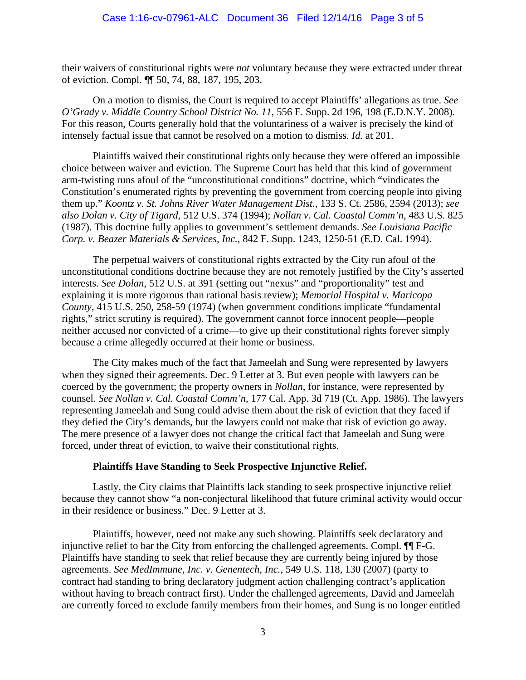their waivers of constitutional rights were *not* voluntary because they were extracted under threat of eviction. Compl. ¶¶ 50, 74, 88, 187, 195, 203.

On a motion to dismiss, the Court is required to accept Plaintiffs' allegations as true. *See O'Grady v. Middle Country School District No. 11*, 556 F. Supp. 2d 196, 198 (E.D.N.Y. 2008). For this reason, Courts generally hold that the voluntariness of a waiver is precisely the kind of intensely factual issue that cannot be resolved on a motion to dismiss. *Id.* at 201.

Plaintiffs waived their constitutional rights only because they were offered an impossible choice between waiver and eviction. The Supreme Court has held that this kind of government arm-twisting runs afoul of the "unconstitutional conditions" doctrine, which "vindicates the Constitution's enumerated rights by preventing the government from coercing people into giving them up." *Koontz v. St. Johns River Water Management Dist.*, 133 S. Ct. 2586, 2594 (2013); *see also Dolan v. City of Tigard*, 512 U.S. 374 (1994); *Nollan v. Cal. Coastal Comm'n*, 483 U.S. 825 (1987). This doctrine fully applies to government's settlement demands. *See Louisiana Pacific Corp. v. Beazer Materials & Services, Inc.*, 842 F. Supp. 1243, 1250-51 (E.D. Cal. 1994).

The perpetual waivers of constitutional rights extracted by the City run afoul of the unconstitutional conditions doctrine because they are not remotely justified by the City's asserted interests. *See Dolan*, 512 U.S. at 391 (setting out "nexus" and "proportionality" test and explaining it is more rigorous than rational basis review); *Memorial Hospital v. Maricopa County*, 415 U.S. 250, 258-59 (1974) (when government conditions implicate "fundamental rights," strict scrutiny is required). The government cannot force innocent people—people neither accused nor convicted of a crime—to give up their constitutional rights forever simply because a crime allegedly occurred at their home or business.

The City makes much of the fact that Jameelah and Sung were represented by lawyers when they signed their agreements. Dec. 9 Letter at 3. But even people with lawyers can be coerced by the government; the property owners in *Nollan*, for instance, were represented by counsel. *See Nollan v. Cal. Coastal Comm'n*, 177 Cal. App. 3d 719 (Ct. App. 1986). The lawyers representing Jameelah and Sung could advise them about the risk of eviction that they faced if they defied the City's demands, but the lawyers could not make that risk of eviction go away. The mere presence of a lawyer does not change the critical fact that Jameelah and Sung were forced, under threat of eviction, to waive their constitutional rights.

### **Plaintiffs Have Standing to Seek Prospective Injunctive Relief.**

 Lastly, the City claims that Plaintiffs lack standing to seek prospective injunctive relief because they cannot show "a non-conjectural likelihood that future criminal activity would occur in their residence or business." Dec. 9 Letter at 3.

Plaintiffs, however, need not make any such showing. Plaintiffs seek declaratory and injunctive relief to bar the City from enforcing the challenged agreements. Compl. ¶¶ F-G. Plaintiffs have standing to seek that relief because they are currently being injured by those agreements. *See MedImmune, Inc. v. Genentech, Inc.*, 549 U.S. 118, 130 (2007) (party to contract had standing to bring declaratory judgment action challenging contract's application without having to breach contract first). Under the challenged agreements, David and Jameelah are currently forced to exclude family members from their homes, and Sung is no longer entitled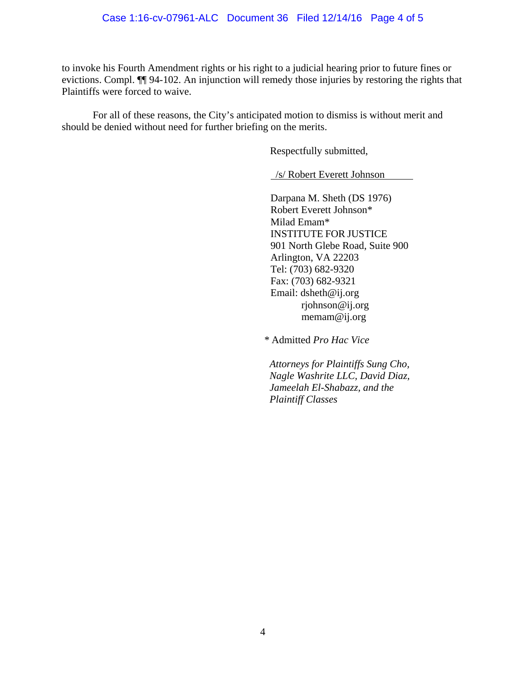to invoke his Fourth Amendment rights or his right to a judicial hearing prior to future fines or evictions. Compl. ¶¶ 94-102. An injunction will remedy those injuries by restoring the rights that Plaintiffs were forced to waive.

For all of these reasons, the City's anticipated motion to dismiss is without merit and should be denied without need for further briefing on the merits.

Respectfully submitted,

/s/ Robert Everett Johnson

Darpana M. Sheth (DS 1976) Robert Everett Johnson\* Milad Emam\* INSTITUTE FOR JUSTICE 901 North Glebe Road, Suite 900 Arlington, VA 22203 Tel: (703) 682-9320 Fax: (703) 682-9321 Email: dsheth@ij.org rjohnson@ij.org memam@ij.org

*\** Admitted *Pro Hac Vice*

*Attorneys for Plaintiffs Sung Cho, Nagle Washrite LLC, David Diaz, Jameelah El-Shabazz, and the Plaintiff Classes*